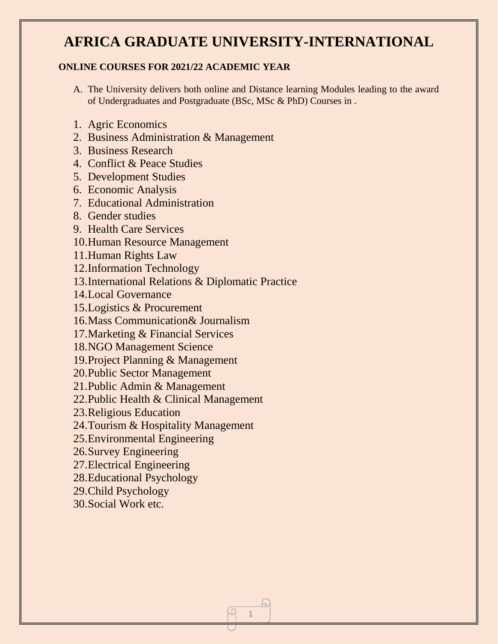# **AFRICA GRADUATE UNIVERSITY-INTERNATIONAL**

#### **ONLINE COURSES FOR 2021/22 ACADEMIC YEAR**

A. The University delivers both online and Distance learning Modules leading to the award of Undergraduates and Postgraduate (BSc, MSc & PhD) Courses in .

1

A)

- 1. Agric Economics
- 2. Business Administration & Management
- 3. Business Research
- 4. Conflict & Peace Studies
- 5. Development Studies
- 6. Economic Analysis
- 7. Educational Administration
- 8. Gender studies
- 9. Health Care Services
- 10.Human Resource Management
- 11.Human Rights Law
- 12.Information Technology
- 13.International Relations & Diplomatic Practice
- 14.Local Governance
- 15.Logistics & Procurement
- 16.Mass Communication& Journalism
- 17.Marketing & Financial Services
- 18.NGO Management Science
- 19.Project Planning & Management
- 20.Public Sector Management
- 21.Public Admin & Management
- 22.Public Health & Clinical Management
- 23.Religious Education
- 24.Tourism & Hospitality Management
- 25.Environmental Engineering
- 26.Survey Engineering
- 27.Electrical Engineering
- 28.Educational Psychology
- 29.Child Psychology
- 30.Social Work etc.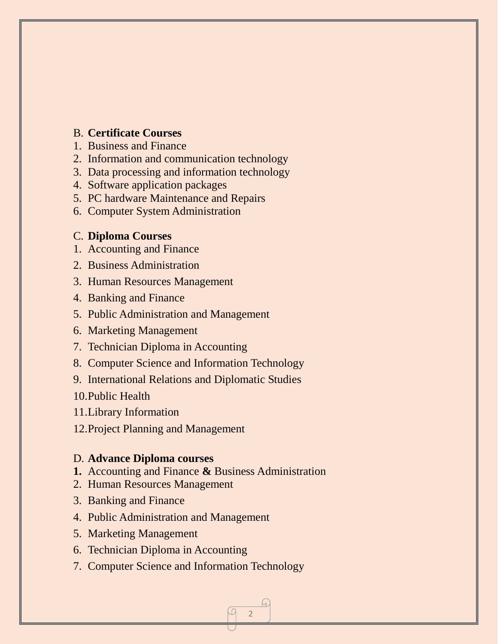### B. **Certificate Courses**

- 1. Business and Finance
- 2. Information and communication technology
- 3. Data processing and information technology
- 4. Software application packages
- 5. PC hardware Maintenance and Repairs
- 6. Computer System Administration

#### C. **Diploma Courses**

- 1. Accounting and Finance
- 2. Business Administration
- 3. Human Resources Management
- 4. Banking and Finance
- 5. Public Administration and Management
- 6. Marketing Management
- 7. Technician Diploma in Accounting
- 8. Computer Science and Information Technology
- 9. International Relations and Diplomatic Studies
- 10.Public Health
- 11.Library Information
- 12.Project Planning and Management

#### D. **Advance Diploma courses**

- **1.** Accounting and Finance **&** Business Administration
- 2. Human Resources Management
- 3. Banking and Finance
- 4. Public Administration and Management
- 5. Marketing Management
- 6. Technician Diploma in Accounting
- 7. Computer Science and Information Technology

2

 $\omega$